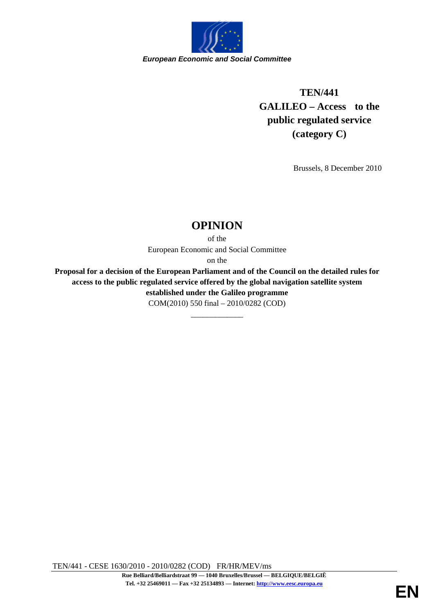

## **TEN/441 GALILEO – Access to the public regulated service (category C)**

Brussels, 8 December 2010

## **OPINION**

of the European Economic and Social Committee

on the

**Proposal for a decision of the European Parliament and of the Council on the detailed rules for access to the public regulated service offered by the global navigation satellite system established under the Galileo programme** COM(2010) 550 final – 2010/0282 (COD)

\_\_\_\_\_\_\_\_\_\_\_\_\_

TEN/441 - CESE 1630/2010 - 2010/0282 (COD) FR/HR/MEV/ms